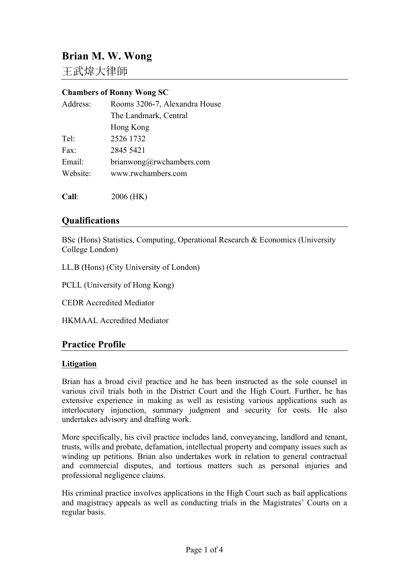# **Brian M. W. Wong**

王武煒大律師

#### **Chambers of Ronny Wong SC**

| Address: | Rooms 3206-7, Alexandra House |
|----------|-------------------------------|
|          | The Landmark, Central         |
|          | Hong Kong                     |
| Tel:     | 2526 1732                     |
| Fax      | 2845 5421                     |
| Email:   | brianwong@rwehambers.com      |
| Website: | www.rwchambers.com            |
|          |                               |

**Call**: 2006 (HK)

# **Qualifications**

BSc (Hons) Statistics, Computing, Operational Research & Economics (University College London)

LL.B (Hons) (City University of London)

PCLL (University of Hong Kong)

CEDR Accredited Mediator

HKMAAL Accredited Mediator

# **Practice Profile**

#### **Litigation**

Brian has a broad civil practice and he has been instructed as the sole counsel in various civil trials both in the District Court and the High Court. Further, he has extensive experience in making as well as resisting various applications such as interlocutory injunction, summary judgment and security for costs. He also undertakes advisory and drafting work.

More specifically, his civil practice includes land, conveyancing, landlord and tenant, trusts, wills and probate, defamation, intellectual property and company issues such as winding up petitions. Brian also undertakes work in relation to general contractual and commercial disputes, and tortious matters such as personal injuries and professional negligence claims.

His criminal practice involves applications in the High Court such as bail applications and magistracy appeals as well as conducting trials in the Magistrates' Courts on a regular basis.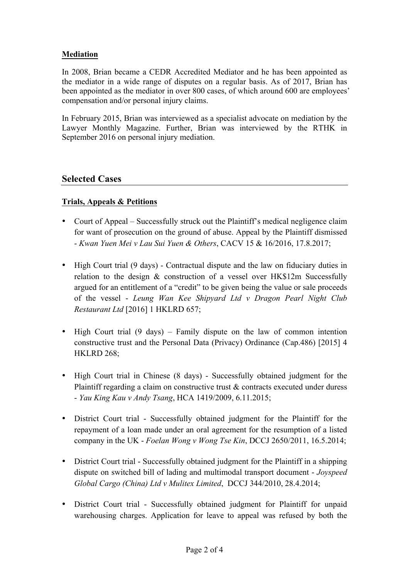## **Mediation**

In 2008, Brian became a CEDR Accredited Mediator and he has been appointed as the mediator in a wide range of disputes on a regular basis. As of 2017, Brian has been appointed as the mediator in over 800 cases, of which around 600 are employees' compensation and/or personal injury claims.

In February 2015, Brian was interviewed as a specialist advocate on mediation by the Lawyer Monthly Magazine. Further, Brian was interviewed by the RTHK in September 2016 on personal injury mediation.

# **Selected Cases**

## **Trials, Appeals & Petitions**

- Court of Appeal Successfully struck out the Plaintiff's medical negligence claim for want of prosecution on the ground of abuse. Appeal by the Plaintiff dismissed - *Kwan Yuen Mei v Lau Sui Yuen & Others*, CACV 15 & 16/2016, 17.8.2017;
- High Court trial (9 days) Contractual dispute and the law on fiduciary duties in relation to the design & construction of a vessel over HK\$12m Successfully argued for an entitlement of a "credit" to be given being the value or sale proceeds of the vessel - *Leung Wan Kee Shipyard Ltd v Dragon Pearl Night Club Restaurant Ltd* [2016] 1 HKLRD 657;
- High Court trial (9 days) Family dispute on the law of common intention constructive trust and the Personal Data (Privacy) Ordinance (Cap.486) [2015] 4 HKLRD 268;
- High Court trial in Chinese (8 days) Successfully obtained judgment for the Plaintiff regarding a claim on constructive trust  $\&$  contracts executed under duress - *Yau King Kau v Andy Tsang*, HCA 1419/2009, 6.11.2015;
- District Court trial Successfully obtained judgment for the Plaintiff for the repayment of a loan made under an oral agreement for the resumption of a listed company in the UK - *Foelan Wong v Wong Tse Kin*, DCCJ 2650/2011, 16.5.2014;
- District Court trial Successfully obtained judgment for the Plaintiff in a shipping dispute on switched bill of lading and multimodal transport document - *Joyspeed Global Cargo (China) Ltd v Mulitex Limited*, DCCJ 344/2010, 28.4.2014;
- District Court trial Successfully obtained judgment for Plaintiff for unpaid warehousing charges. Application for leave to appeal was refused by both the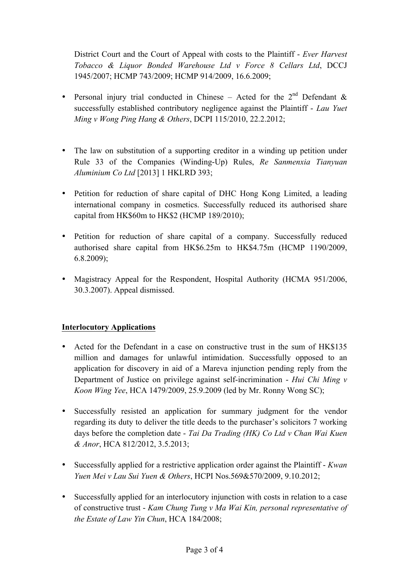District Court and the Court of Appeal with costs to the Plaintiff - *Ever Harvest Tobacco & Liquor Bonded Warehouse Ltd v Force 8 Cellars Ltd*, DCCJ 1945/2007; HCMP 743/2009; HCMP 914/2009, 16.6.2009;

- Personal injury trial conducted in Chinese Acted for the  $2<sup>nd</sup>$  Defendant & successfully established contributory negligence against the Plaintiff - *Lau Yuet Ming v Wong Ping Hang & Others*, DCPI 115/2010, 22.2.2012;
- The law on substitution of a supporting creditor in a winding up petition under Rule 33 of the Companies (Winding-Up) Rules, *Re Sanmenxia Tianyuan Aluminium Co Ltd* [2013] 1 HKLRD 393;
- Petition for reduction of share capital of DHC Hong Kong Limited, a leading international company in cosmetics. Successfully reduced its authorised share capital from HK\$60m to HK\$2 (HCMP 189/2010);
- Petition for reduction of share capital of a company. Successfully reduced authorised share capital from HK\$6.25m to HK\$4.75m (HCMP 1190/2009, 6.8.2009);
- Magistracy Appeal for the Respondent, Hospital Authority (HCMA 951/2006, 30.3.2007). Appeal dismissed.

# **Interlocutory Applications**

- Acted for the Defendant in a case on constructive trust in the sum of HK\$135 million and damages for unlawful intimidation. Successfully opposed to an application for discovery in aid of a Mareva injunction pending reply from the Department of Justice on privilege against self-incrimination - *Hui Chi Ming v Koon Wing Yee*, HCA 1479/2009, 25.9.2009 (led by Mr. Ronny Wong SC);
- Successfully resisted an application for summary judgment for the vendor regarding its duty to deliver the title deeds to the purchaser's solicitors 7 working days before the completion date - *Tai Da Trading (HK) Co Ltd v Chan Wai Kuen & Anor*, HCA 812/2012, 3.5.2013;
- Successfully applied for a restrictive application order against the Plaintiff *Kwan Yuen Mei v Lau Sui Yuen & Others*, HCPI Nos.569&570/2009, 9.10.2012;
- Successfully applied for an interlocutory injunction with costs in relation to a case of constructive trust - *Kam Chung Tung v Ma Wai Kin, personal representative of the Estate of Law Yin Chun*, HCA 184/2008;